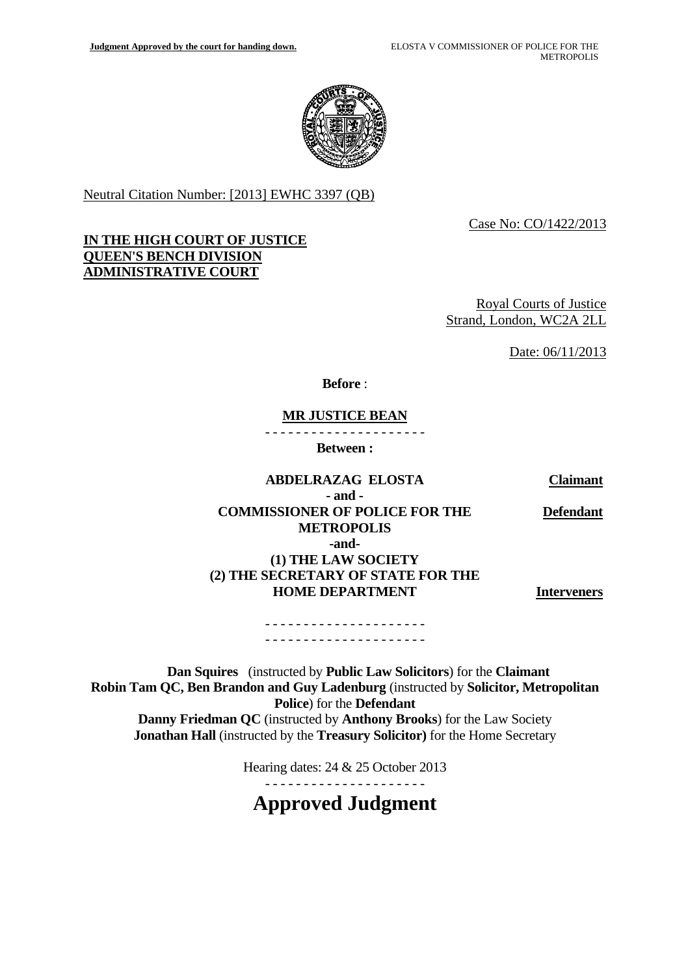

Neutral Citation Number: [2013] EWHC 3397 (QB)

Case No: CO/1422/2013

#### **IN THE HIGH COURT OF JUSTICE QUEEN'S BENCH DIVISION ADMINISTRATIVE COURT**

Royal Courts of Justice Strand, London, WC2A 2LL

Date: 06/11/2013

**Before** :

#### **MR JUSTICE BEAN**

- - - - - - - - - - - - - - - - - - - - -

**Between :** 

#### **ABDELRAZAG ELOSTA - and -**

**Claimant** 

**Defendant**

#### **COMMISSIONER OF POLICE FOR THE METROPOLIS -and- (1) THE LAW SOCIETY (2) THE SECRETARY OF STATE FOR THE**

**HOME DEPARTMENT** 

**Interveners** 

- - - - - - - - - - - - - - - - - - - - - - - - - - - - - - - - - - - - - - - - - -

**Dan Squires** (instructed by **Public Law Solicitors**) for the **Claimant Robin Tam QC, Ben Brandon and Guy Ladenburg** (instructed by **Solicitor, Metropolitan Police**) for the **Defendant Danny Friedman QC** (instructed by **Anthony Brooks**) for the Law Society **Jonathan Hall** (instructed by the **Treasury Solicitor)** for the Home Secretary

Hearing dates: 24 & 25 October 2013

- - - - - - - - - - - - - - - - - - - - -

**Approved Judgment**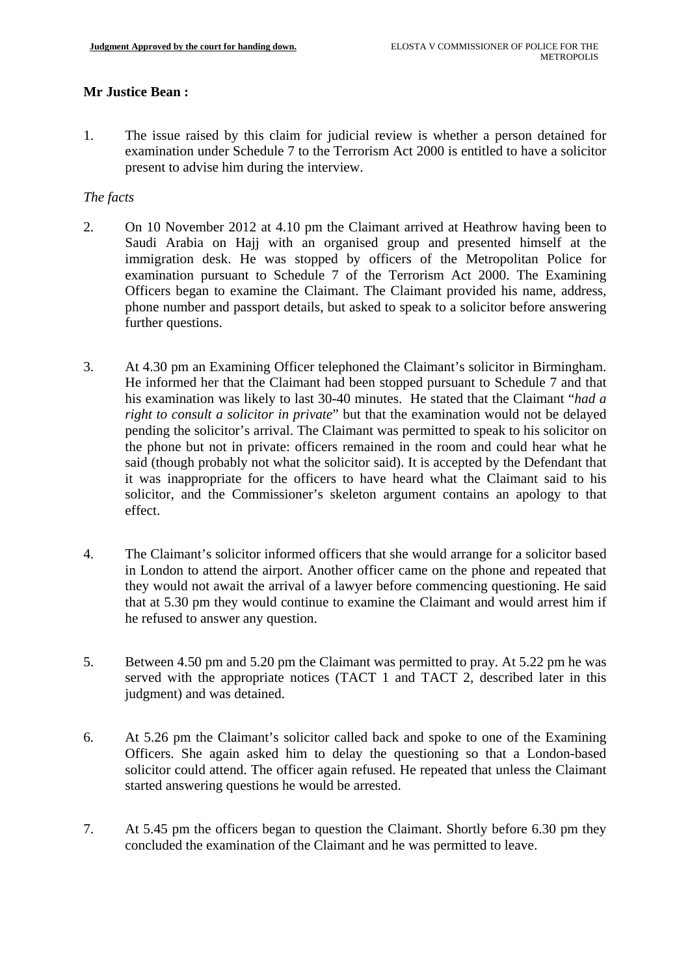# **Mr Justice Bean :**

1. The issue raised by this claim for judicial review is whether a person detained for examination under Schedule 7 to the Terrorism Act 2000 is entitled to have a solicitor present to advise him during the interview.

## *The facts*

- 2. On 10 November 2012 at 4.10 pm the Claimant arrived at Heathrow having been to Saudi Arabia on Hajj with an organised group and presented himself at the immigration desk. He was stopped by officers of the Metropolitan Police for examination pursuant to Schedule 7 of the Terrorism Act 2000. The Examining Officers began to examine the Claimant. The Claimant provided his name, address, phone number and passport details, but asked to speak to a solicitor before answering further questions.
- 3. At 4.30 pm an Examining Officer telephoned the Claimant's solicitor in Birmingham. He informed her that the Claimant had been stopped pursuant to Schedule 7 and that his examination was likely to last 30-40 minutes. He stated that the Claimant "*had a right to consult a solicitor in private*" but that the examination would not be delayed pending the solicitor's arrival. The Claimant was permitted to speak to his solicitor on the phone but not in private: officers remained in the room and could hear what he said (though probably not what the solicitor said). It is accepted by the Defendant that it was inappropriate for the officers to have heard what the Claimant said to his solicitor, and the Commissioner's skeleton argument contains an apology to that effect.
- 4. The Claimant's solicitor informed officers that she would arrange for a solicitor based in London to attend the airport. Another officer came on the phone and repeated that they would not await the arrival of a lawyer before commencing questioning. He said that at 5.30 pm they would continue to examine the Claimant and would arrest him if he refused to answer any question.
- 5. Between 4.50 pm and 5.20 pm the Claimant was permitted to pray. At 5.22 pm he was served with the appropriate notices (TACT 1 and TACT 2, described later in this judgment) and was detained.
- 6. At 5.26 pm the Claimant's solicitor called back and spoke to one of the Examining Officers. She again asked him to delay the questioning so that a London-based solicitor could attend. The officer again refused. He repeated that unless the Claimant started answering questions he would be arrested.
- 7. At 5.45 pm the officers began to question the Claimant. Shortly before 6.30 pm they concluded the examination of the Claimant and he was permitted to leave.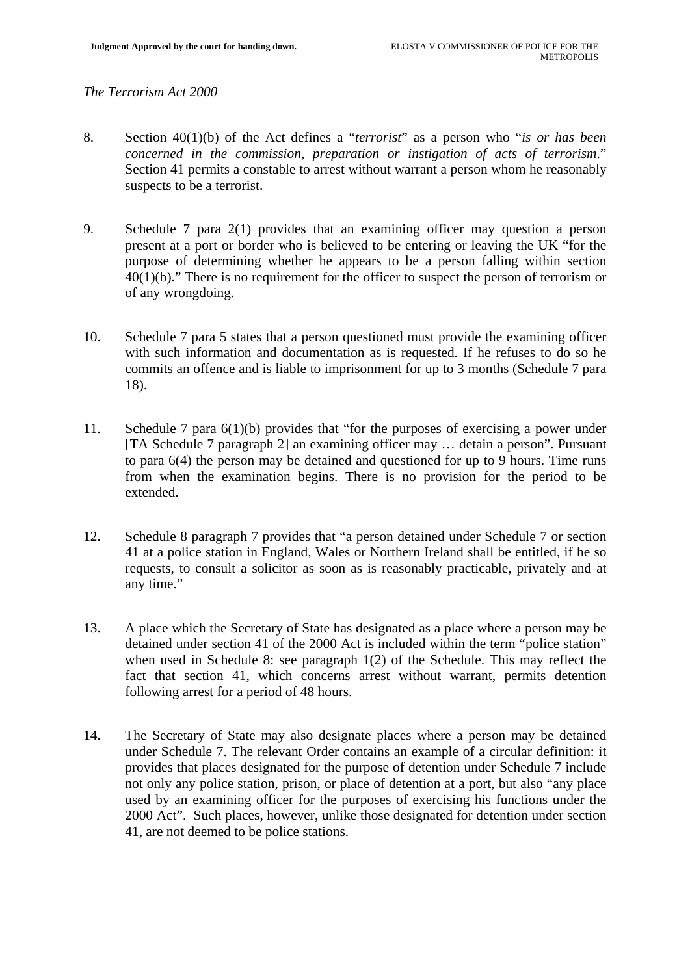# *The Terrorism Act 2000*

- 8. Section 40(1)(b) of the Act defines a "*terrorist*" as a person who "*is or has been concerned in the commission, preparation or instigation of acts of terrorism*." Section 41 permits a constable to arrest without warrant a person whom he reasonably suspects to be a terrorist.
- 9. Schedule 7 para 2(1) provides that an examining officer may question a person present at a port or border who is believed to be entering or leaving the UK "for the purpose of determining whether he appears to be a person falling within section 40(1)(b)." There is no requirement for the officer to suspect the person of terrorism or of any wrongdoing.
- 10. Schedule 7 para 5 states that a person questioned must provide the examining officer with such information and documentation as is requested. If he refuses to do so he commits an offence and is liable to imprisonment for up to 3 months (Schedule 7 para 18).
- 11. Schedule 7 para  $6(1)(b)$  provides that "for the purposes of exercising a power under [TA Schedule 7 paragraph 2] an examining officer may … detain a person". Pursuant to para 6(4) the person may be detained and questioned for up to 9 hours. Time runs from when the examination begins. There is no provision for the period to be extended.
- 12. Schedule 8 paragraph 7 provides that "a person detained under Schedule 7 or section 41 at a police station in England, Wales or Northern Ireland shall be entitled, if he so requests, to consult a solicitor as soon as is reasonably practicable, privately and at any time."
- 13. A place which the Secretary of State has designated as a place where a person may be detained under section 41 of the 2000 Act is included within the term "police station" when used in Schedule 8: see paragraph 1(2) of the Schedule. This may reflect the fact that section 41, which concerns arrest without warrant, permits detention following arrest for a period of 48 hours.
- 14. The Secretary of State may also designate places where a person may be detained under Schedule 7. The relevant Order contains an example of a circular definition: it provides that places designated for the purpose of detention under Schedule 7 include not only any police station, prison, or place of detention at a port, but also "any place used by an examining officer for the purposes of exercising his functions under the 2000 Act". Such places, however, unlike those designated for detention under section 41, are not deemed to be police stations.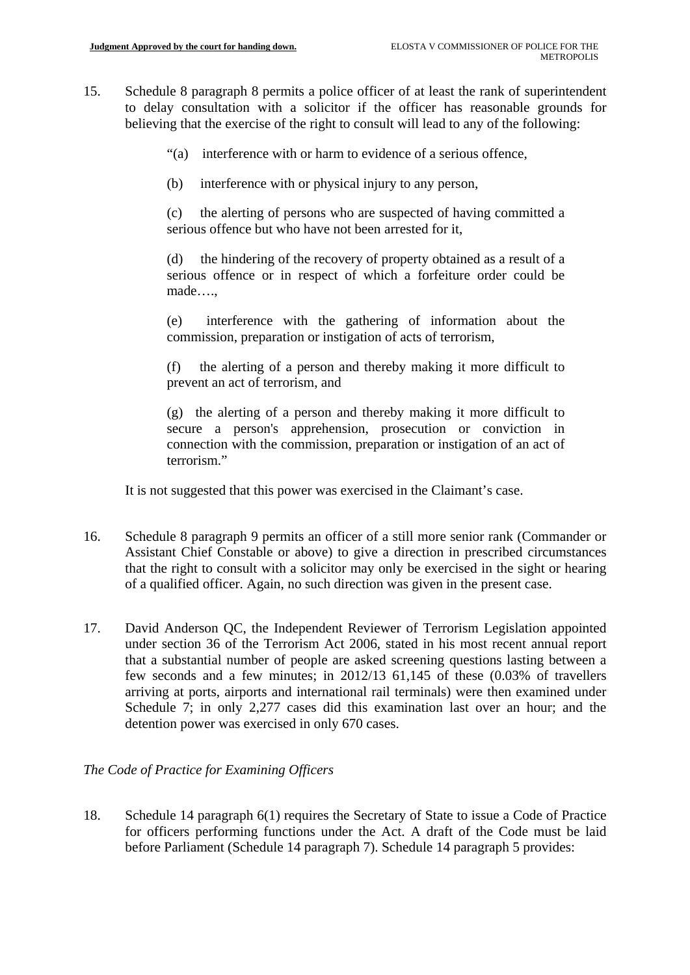- 15. Schedule 8 paragraph 8 permits a police officer of at least the rank of superintendent to delay consultation with a solicitor if the officer has reasonable grounds for believing that the exercise of the right to consult will lead to any of the following:
	- "(a) interference with or harm to evidence of a serious offence,
	- $(b)$ interference with or physical injury to any person,

 $(c)$ the alerting of persons who are suspected of having committed a serious offence but who have not been arrested for it,

the hindering of the recovery of property obtained as a result of a serious offence or in respect of which a forfeiture order could be made….,

(e) interference with the gathering of information about the commission, preparation or instigation of acts of terrorism,

(f) the alerting of a person and thereby making it more difficult to prevent an act of terrorism, and

(g) the alerting of a person and thereby making it more difficult to secure a person's apprehension, prosecution or conviction in connection with the commission, preparation or instigation of an act of terrorism."

It is not suggested that this power was exercised in the Claimant's case.

- 16. Schedule 8 paragraph 9 permits an officer of a still more senior rank (Commander or Assistant Chief Constable or above) to give a direction in prescribed circumstances that the right to consult with a solicitor may only be exercised in the sight or hearing of a qualified officer. Again, no such direction was given in the present case.
- 17. David Anderson QC, the Independent Reviewer of Terrorism Legislation appointed under section 36 of the Terrorism Act 2006, stated in his most recent annual report that a substantial number of people are asked screening questions lasting between a few seconds and a few minutes; in 2012/13 61,145 of these (0.03% of travellers arriving at ports, airports and international rail terminals) were then examined under Schedule 7; in only 2,277 cases did this examination last over an hour; and the detention power was exercised in only 670 cases.

## *The Code of Practice for Examining Officers*

18. Schedule 14 paragraph 6(1) requires the Secretary of State to issue a Code of Practice for officers performing functions under the Act. A draft of the Code must be laid before Parliament (Schedule 14 paragraph 7). Schedule 14 paragraph 5 provides: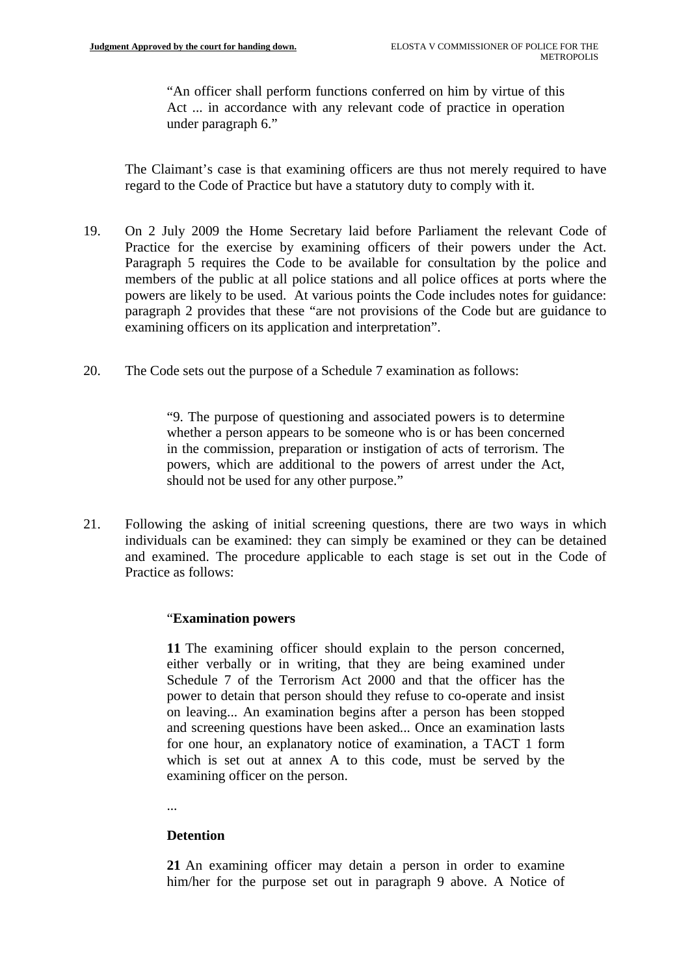"An officer shall perform functions conferred on him by virtue of this Act ... in accordance with any relevant code of practice in operation under paragraph 6."

The Claimant's case is that examining officers are thus not merely required to have regard to the Code of Practice but have a statutory duty to comply with it.

- 19. On 2 July 2009 the Home Secretary laid before Parliament the relevant Code of Practice for the exercise by examining officers of their powers under the Act. Paragraph 5 requires the Code to be available for consultation by the police and members of the public at all police stations and all police offices at ports where the powers are likely to be used. At various points the Code includes notes for guidance: paragraph 2 provides that these "are not provisions of the Code but are guidance to examining officers on its application and interpretation".
- 20. The Code sets out the purpose of a Schedule 7 examination as follows:

"9. The purpose of questioning and associated powers is to determine whether a person appears to be someone who is or has been concerned in the commission, preparation or instigation of acts of terrorism. The powers, which are additional to the powers of arrest under the Act, should not be used for any other purpose."

21. Following the asking of initial screening questions, there are two ways in which individuals can be examined: they can simply be examined or they can be detained and examined. The procedure applicable to each stage is set out in the Code of Practice as follows:

#### "**Examination powers**

 **11** The examining officer should explain to the person concerned, either verbally or in writing, that they are being examined under Schedule 7 of the Terrorism Act 2000 and that the officer has the power to detain that person should they refuse to co-operate and insist on leaving... An examination begins after a person has been stopped and screening questions have been asked... Once an examination lasts for one hour, an explanatory notice of examination, a TACT 1 form which is set out at annex A to this code, must be served by the examining officer on the person.

...

## **Detention**

 **21** An examining officer may detain a person in order to examine him/her for the purpose set out in paragraph 9 above. A Notice of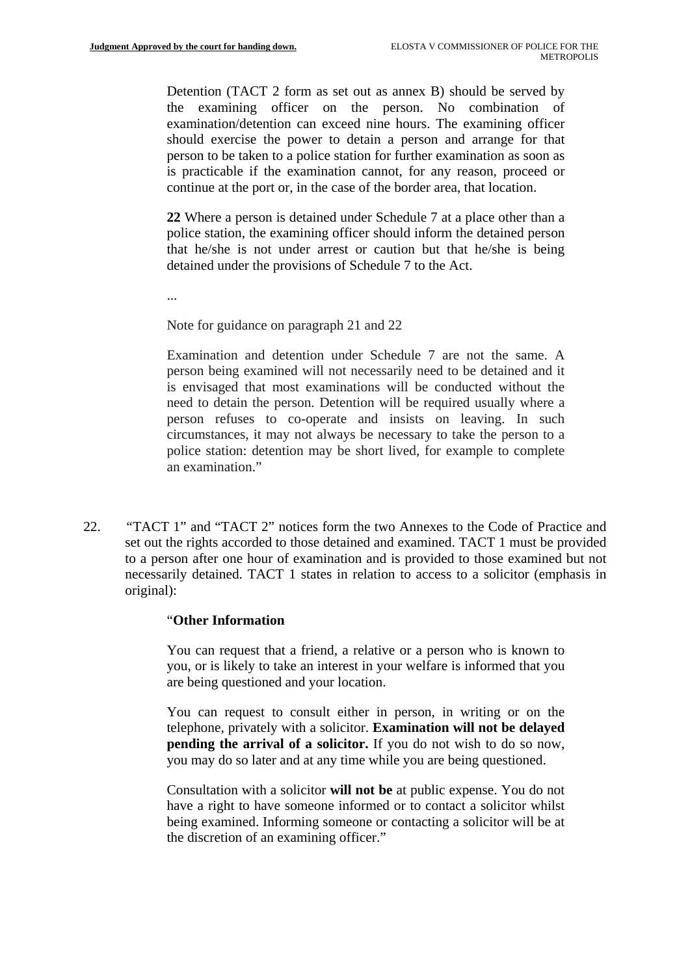Detention (TACT 2 form as set out as annex B) should be served by the examining officer on the person. No combination of examination/detention can exceed nine hours. The examining officer should exercise the power to detain a person and arrange for that person to be taken to a police station for further examination as soon as is practicable if the examination cannot, for any reason, proceed or continue at the port or, in the case of the border area, that location.

**22** Where a person is detained under Schedule 7 at a place other than a police station, the examining officer should inform the detained person that he/she is not under arrest or caution but that he/she is being detained under the provisions of Schedule 7 to the Act.

...

Note for guidance on paragraph 21 and 22

Examination and detention under Schedule 7 are not the same. A person being examined will not necessarily need to be detained and it is envisaged that most examinations will be conducted without the need to detain the person. Detention will be required usually where a person refuses to co-operate and insists on leaving. In such circumstances, it may not always be necessary to take the person to a police station: detention may be short lived, for example to complete an examination."

22. *"TACT 1" and "TACT 2" notices form the two Annexes to the Code of Practice and* set out the rights accorded to those detained and examined. TACT 1 must be provided to a person after one hour of examination and is provided to those examined but not necessarily detained. TACT 1 states in relation to access to a solicitor (emphasis in original):

#### "**Other Information**

You can request that a friend, a relative or a person who is known to you, or is likely to take an interest in your welfare is informed that you are being questioned and your location.

You can request to consult either in person, in writing or on the telephone, privately with a solicitor. **Examination will not be delayed pending the arrival of a solicitor.** If you do not wish to do so now, you may do so later and at any time while you are being questioned.

Consultation with a solicitor **will not be** at public expense. You do not have a right to have someone informed or to contact a solicitor whilst being examined. Informing someone or contacting a solicitor will be at the discretion of an examining officer."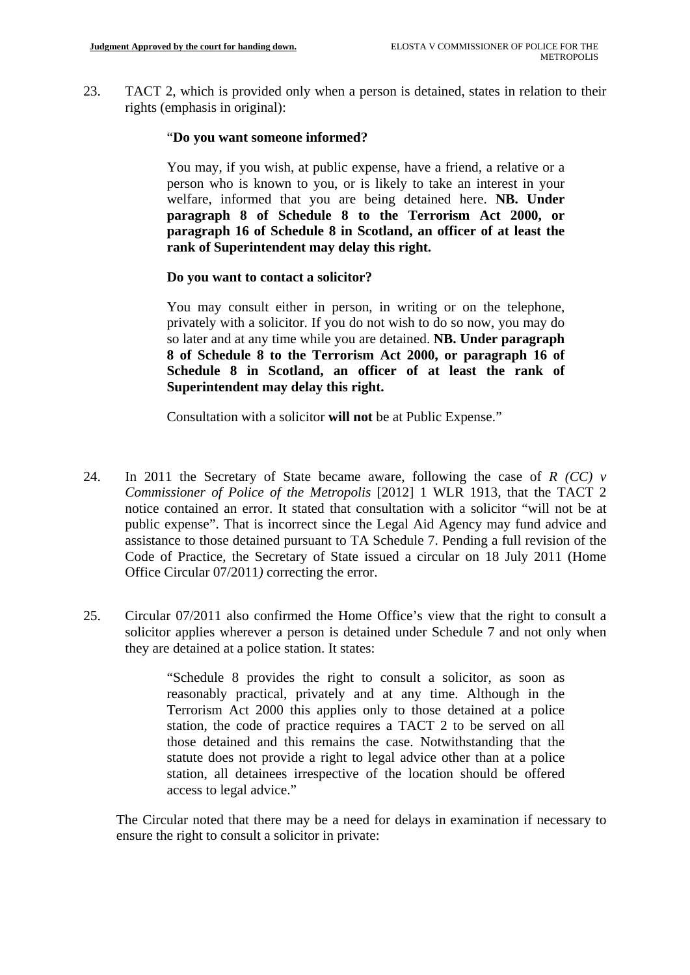23. TACT 2, which is provided only when a person is detained, states in relation to their rights (emphasis in original):

## "**Do you want someone informed?**

You may, if you wish, at public expense, have a friend, a relative or a person who is known to you, or is likely to take an interest in your welfare, informed that you are being detained here. **NB. Under paragraph 8 of Schedule 8 to the Terrorism Act 2000, or paragraph 16 of Schedule 8 in Scotland, an officer of at least the rank of Superintendent may delay this right.** 

## **Do you want to contact a solicitor?**

You may consult either in person, in writing or on the telephone, privately with a solicitor. If you do not wish to do so now, you may do so later and at any time while you are detained. **NB. Under paragraph 8 of Schedule 8 to the Terrorism Act 2000, or paragraph 16 of Schedule 8 in Scotland, an officer of at least the rank of Superintendent may delay this right.** 

Consultation with a solicitor **will not** be at Public Expense."

- 24. In 2011 the Secretary of State became aware, following the case of  $R$  (CC)  $\nu$ *Commissioner of Police of the Metropolis* [2012] 1 WLR 1913*,* that the TACT 2 notice contained an error. It stated that consultation with a solicitor "will not be at public expense". That is incorrect since the Legal Aid Agency may fund advice and assistance to those detained pursuant to TA Schedule 7. Pending a full revision of the Code of Practice, the Secretary of State issued a circular on 18 July 2011 (Home Office Circular 07/2011*)* correcting the error.
- 25. Circular 07/2011 also confirmed the Home Office's view that the right to consult a solicitor applies wherever a person is detained under Schedule 7 and not only when they are detained at a police station. It states:

"Schedule 8 provides the right to consult a solicitor, as soon as reasonably practical, privately and at any time. Although in the Terrorism Act 2000 this applies only to those detained at a police station, the code of practice requires a TACT 2 to be served on all those detained and this remains the case. Notwithstanding that the statute does not provide a right to legal advice other than at a police station, all detainees irrespective of the location should be offered access to legal advice."

 ensure the right to consult a solicitor in private: The Circular noted that there may be a need for delays in examination if necessary to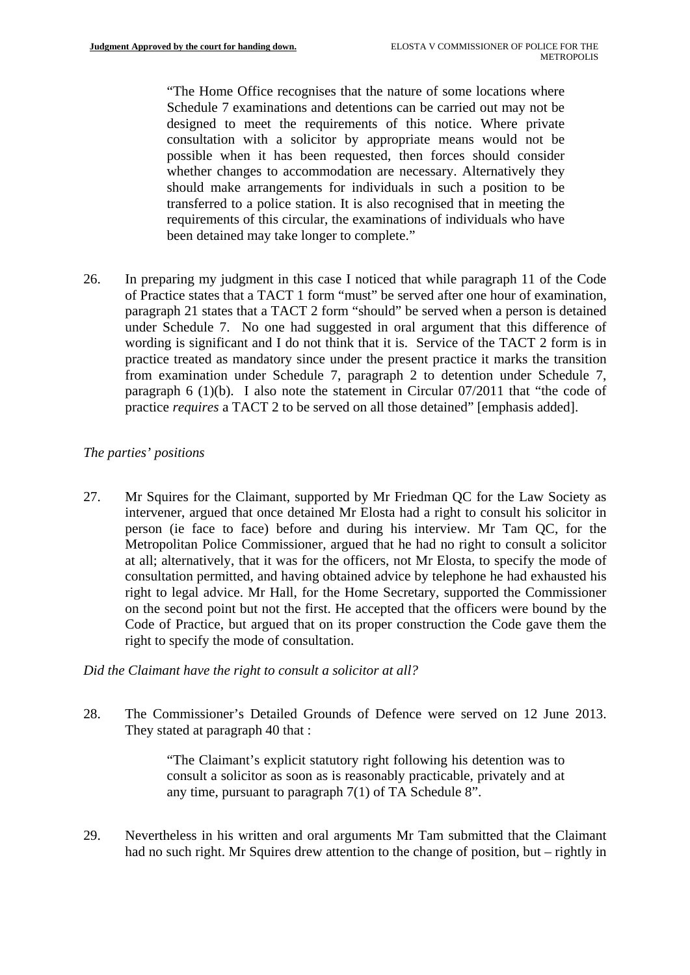"The Home Office recognises that the nature of some locations where Schedule 7 examinations and detentions can be carried out may not be designed to meet the requirements of this notice. Where private consultation with a solicitor by appropriate means would not be possible when it has been requested, then forces should consider whether changes to accommodation are necessary. Alternatively they should make arrangements for individuals in such a position to be transferred to a police station. It is also recognised that in meeting the requirements of this circular, the examinations of individuals who have been detained may take longer to complete."

26. In preparing my judgment in this case I noticed that while paragraph 11 of the Code of Practice states that a TACT 1 form "must" be served after one hour of examination, paragraph 21 states that a TACT 2 form "should" be served when a person is detained under Schedule 7. No one had suggested in oral argument that this difference of wording is significant and I do not think that it is. Service of the TACT 2 form is in practice treated as mandatory since under the present practice it marks the transition from examination under Schedule 7, paragraph 2 to detention under Schedule 7, paragraph 6 (1)(b). I also note the statement in Circular 07/2011 that "the code of practice *requires* a TACT 2 to be served on all those detained" [emphasis added].

# *The parties' positions*

27. Mr Squires for the Claimant, supported by Mr Friedman QC for the Law Society as intervener, argued that once detained Mr Elosta had a right to consult his solicitor in person (ie face to face) before and during his interview. Mr Tam QC, for the Metropolitan Police Commissioner, argued that he had no right to consult a solicitor at all; alternatively, that it was for the officers, not Mr Elosta, to specify the mode of consultation permitted, and having obtained advice by telephone he had exhausted his right to legal advice. Mr Hall, for the Home Secretary, supported the Commissioner on the second point but not the first. He accepted that the officers were bound by the Code of Practice, but argued that on its proper construction the Code gave them the right to specify the mode of consultation.

## *Did the Claimant have the right to consult a solicitor at all?*

28. The Commissioner's Detailed Grounds of Defence were served on 12 June 2013. They stated at paragraph 40 that :

> "The Claimant's explicit statutory right following his detention was to consult a solicitor as soon as is reasonably practicable, privately and at any time, pursuant to paragraph 7(1) of TA Schedule 8".

29. Nevertheless in his written and oral arguments Mr Tam submitted that the Claimant had no such right. Mr Squires drew attention to the change of position, but – rightly in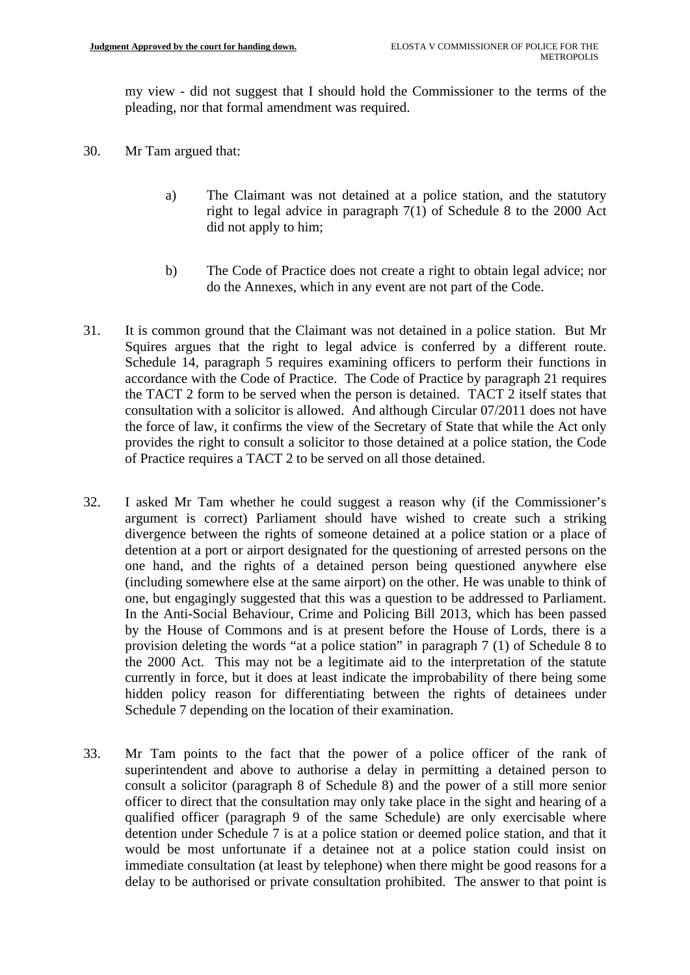my view - did not suggest that I should hold the Commissioner to the terms of the pleading, nor that formal amendment was required.

- 30. Mr Tam argued that:
	- a) The Claimant was not detained at a police station, and the statutory right to legal advice in paragraph 7(1) of Schedule 8 to the 2000 Act did not apply to him;
	- b) The Code of Practice does not create a right to obtain legal advice; nor do the Annexes, which in any event are not part of the Code.
- 31. It is common ground that the Claimant was not detained in a police station. But Mr Squires argues that the right to legal advice is conferred by a different route. Schedule 14, paragraph 5 requires examining officers to perform their functions in accordance with the Code of Practice. The Code of Practice by paragraph 21 requires the TACT 2 form to be served when the person is detained. TACT 2 itself states that consultation with a solicitor is allowed. And although Circular 07/2011 does not have the force of law, it confirms the view of the Secretary of State that while the Act only provides the right to consult a solicitor to those detained at a police station, the Code of Practice requires a TACT 2 to be served on all those detained.
- 32. I asked Mr Tam whether he could suggest a reason why (if the Commissioner's argument is correct) Parliament should have wished to create such a striking divergence between the rights of someone detained at a police station or a place of detention at a port or airport designated for the questioning of arrested persons on the one hand, and the rights of a detained person being questioned anywhere else (including somewhere else at the same airport) on the other. He was unable to think of one, but engagingly suggested that this was a question to be addressed to Parliament. In the Anti-Social Behaviour, Crime and Policing Bill 2013, which has been passed by the House of Commons and is at present before the House of Lords, there is a provision deleting the words "at a police station" in paragraph 7 (1) of Schedule 8 to the 2000 Act. This may not be a legitimate aid to the interpretation of the statute currently in force, but it does at least indicate the improbability of there being some hidden policy reason for differentiating between the rights of detainees under Schedule 7 depending on the location of their examination.
- 33. Mr Tam points to the fact that the power of a police officer of the rank of superintendent and above to authorise a delay in permitting a detained person to consult a solicitor (paragraph 8 of Schedule 8) and the power of a still more senior officer to direct that the consultation may only take place in the sight and hearing of a qualified officer (paragraph 9 of the same Schedule) are only exercisable where detention under Schedule 7 is at a police station or deemed police station, and that it would be most unfortunate if a detainee not at a police station could insist on immediate consultation (at least by telephone) when there might be good reasons for a delay to be authorised or private consultation prohibited. The answer to that point is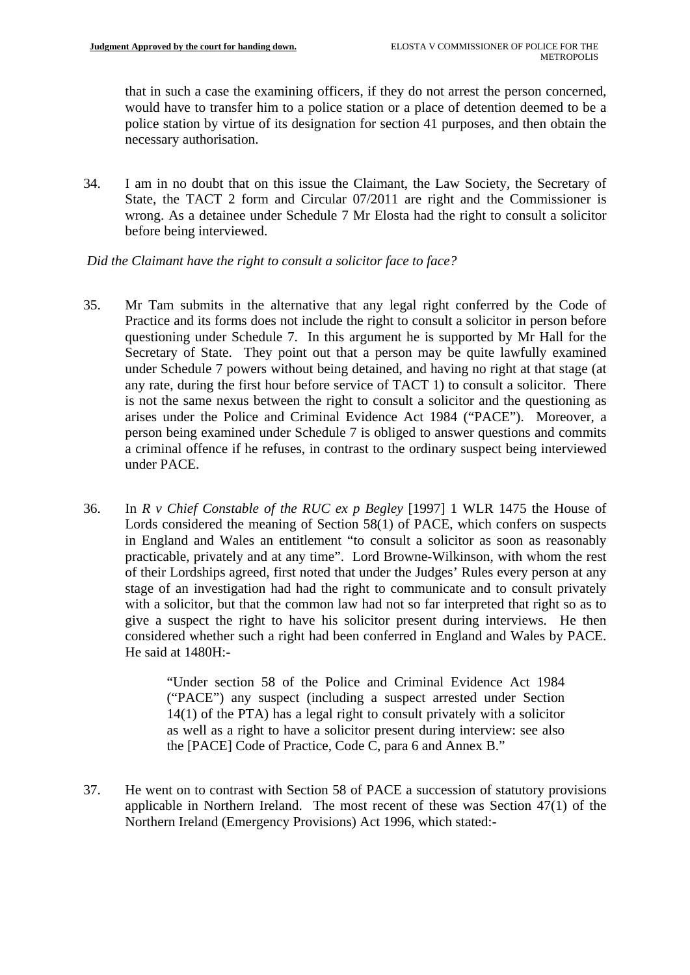that in such a case the examining officers, if they do not arrest the person concerned, would have to transfer him to a police station or a place of detention deemed to be a police station by virtue of its designation for section 41 purposes, and then obtain the necessary authorisation.

 before being interviewed. 34. I am in no doubt that on this issue the Claimant, the Law Society, the Secretary of State, the TACT 2 form and Circular 07/2011 are right and the Commissioner is wrong. As a detainee under Schedule 7 Mr Elosta had the right to consult a solicitor

#### *Did the Claimant have the right to consult a solicitor face to face?*

- 35. Mr Tam submits in the alternative that any legal right conferred by the Code of Practice and its forms does not include the right to consult a solicitor in person before questioning under Schedule 7. In this argument he is supported by Mr Hall for the Secretary of State. They point out that a person may be quite lawfully examined under Schedule 7 powers without being detained, and having no right at that stage (at any rate, during the first hour before service of TACT 1) to consult a solicitor. There is not the same nexus between the right to consult a solicitor and the questioning as arises under the Police and Criminal Evidence Act 1984 ("PACE"). Moreover, a person being examined under Schedule 7 is obliged to answer questions and commits a criminal offence if he refuses, in contrast to the ordinary suspect being interviewed under PACE.
- 36. In *R v Chief Constable of the RUC ex p Begley* [1997] 1 WLR 1475 the House of Lords considered the meaning of Section 58(1) of PACE, which confers on suspects in England and Wales an entitlement "to consult a solicitor as soon as reasonably practicable, privately and at any time". Lord Browne-Wilkinson, with whom the rest of their Lordships agreed, first noted that under the Judges' Rules every person at any stage of an investigation had had the right to communicate and to consult privately with a solicitor, but that the common law had not so far interpreted that right so as to give a suspect the right to have his solicitor present during interviews. He then considered whether such a right had been conferred in England and Wales by PACE. He said at 1480H:-

"Under section 58 of the Police and Criminal Evidence Act 1984 ("PACE") any suspect (including a suspect arrested under Section 14(1) of the PTA) has a legal right to consult privately with a solicitor as well as a right to have a solicitor present during interview: see also the [PACE] Code of Practice, Code C, para 6 and Annex B."

37. He went on to contrast with Section 58 of PACE a succession of statutory provisions applicable in Northern Ireland. The most recent of these was Section 47(1) of the Northern Ireland (Emergency Provisions) Act 1996, which stated:-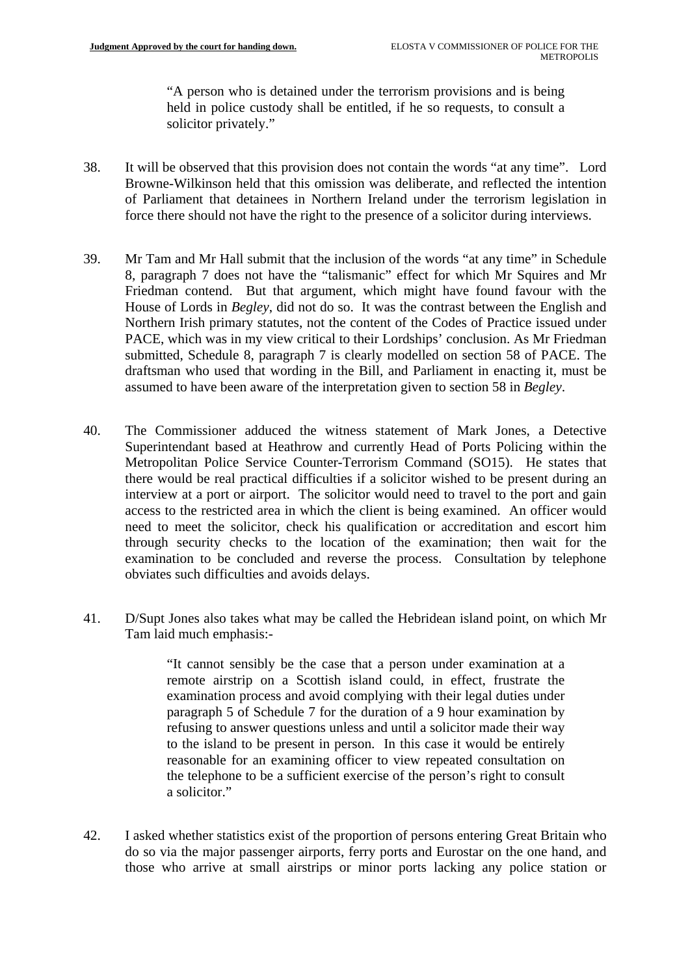"A person who is detained under the terrorism provisions and is being held in police custody shall be entitled, if he so requests, to consult a solicitor privately."

- 38. It will be observed that this provision does not contain the words "at any time". Lord Browne-Wilkinson held that this omission was deliberate, and reflected the intention of Parliament that detainees in Northern Ireland under the terrorism legislation in force there should not have the right to the presence of a solicitor during interviews.
- 39. Mr Tam and Mr Hall submit that the inclusion of the words "at any time" in Schedule 8, paragraph 7 does not have the "talismanic" effect for which Mr Squires and Mr Friedman contend. But that argument, which might have found favour with the House of Lords in *Begley*, did not do so. It was the contrast between the English and Northern Irish primary statutes, not the content of the Codes of Practice issued under PACE, which was in my view critical to their Lordships' conclusion. As Mr Friedman submitted, Schedule 8, paragraph 7 is clearly modelled on section 58 of PACE. The draftsman who used that wording in the Bill, and Parliament in enacting it, must be assumed to have been aware of the interpretation given to section 58 in *Begley*.
- 40. The Commissioner adduced the witness statement of Mark Jones, a Detective Superintendant based at Heathrow and currently Head of Ports Policing within the Metropolitan Police Service Counter-Terrorism Command (SO15). He states that there would be real practical difficulties if a solicitor wished to be present during an interview at a port or airport. The solicitor would need to travel to the port and gain access to the restricted area in which the client is being examined. An officer would need to meet the solicitor, check his qualification or accreditation and escort him through security checks to the location of the examination; then wait for the examination to be concluded and reverse the process. Consultation by telephone obviates such difficulties and avoids delays.
- 41. D/Supt Jones also takes what may be called the Hebridean island point, on which Mr Tam laid much emphasis:-

"It cannot sensibly be the case that a person under examination at a remote airstrip on a Scottish island could, in effect, frustrate the examination process and avoid complying with their legal duties under paragraph 5 of Schedule 7 for the duration of a 9 hour examination by refusing to answer questions unless and until a solicitor made their way to the island to be present in person. In this case it would be entirely reasonable for an examining officer to view repeated consultation on the telephone to be a sufficient exercise of the person's right to consult a solicitor."

42. I asked whether statistics exist of the proportion of persons entering Great Britain who do so via the major passenger airports, ferry ports and Eurostar on the one hand, and those who arrive at small airstrips or minor ports lacking any police station or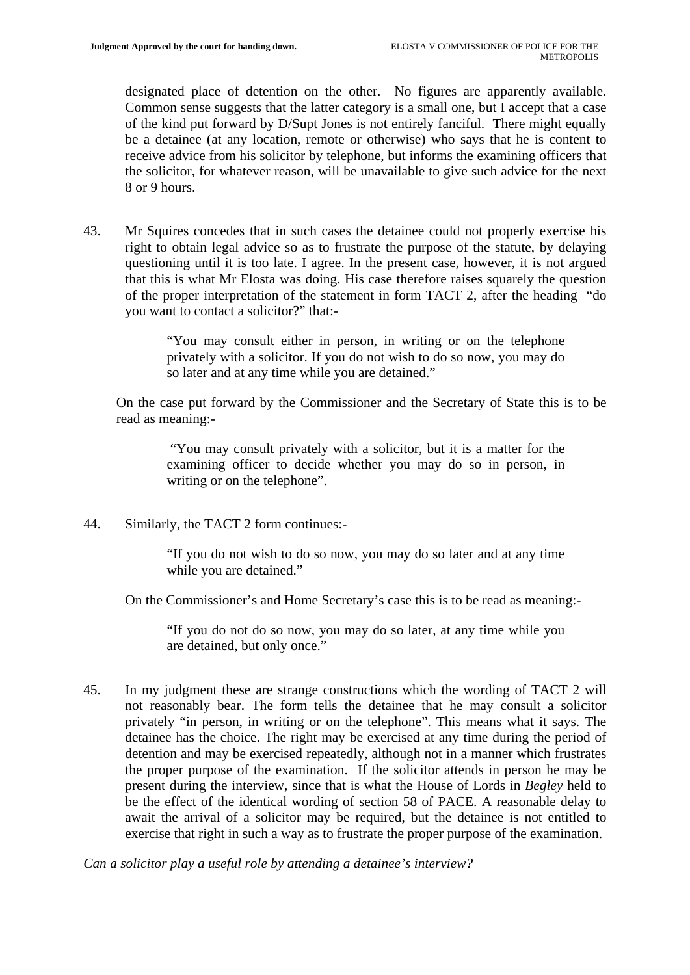designated place of detention on the other. No figures are apparently available. Common sense suggests that the latter category is a small one, but I accept that a case of the kind put forward by D/Supt Jones is not entirely fanciful. There might equally be a detainee (at any location, remote or otherwise) who says that he is content to receive advice from his solicitor by telephone, but informs the examining officers that the solicitor, for whatever reason, will be unavailable to give such advice for the next 8 or 9 hours.

43. Mr Squires concedes that in such cases the detainee could not properly exercise his right to obtain legal advice so as to frustrate the purpose of the statute, by delaying questioning until it is too late. I agree. In the present case, however, it is not argued that this is what Mr Elosta was doing. His case therefore raises squarely the question of the proper interpretation of the statement in form TACT 2, after the heading "do you want to contact a solicitor?" that:-

> "You may consult either in person, in writing or on the telephone privately with a solicitor. If you do not wish to do so now, you may do so later and at any time while you are detained."

On the case put forward by the Commissioner and the Secretary of State this is to be read as meaning:-

> "You may consult privately with a solicitor, but it is a matter for the examining officer to decide whether you may do so in person, in writing or on the telephone".

44. Similarly, the TACT 2 form continues:-

"If you do not wish to do so now, you may do so later and at any time while you are detained."

On the Commissioner's and Home Secretary's case this is to be read as meaning:-

"If you do not do so now, you may do so later, at any time while you are detained, but only once."

45. In my judgment these are strange constructions which the wording of TACT 2 will not reasonably bear. The form tells the detainee that he may consult a solicitor privately "in person, in writing or on the telephone". This means what it says. The detainee has the choice. The right may be exercised at any time during the period of detention and may be exercised repeatedly, although not in a manner which frustrates the proper purpose of the examination. If the solicitor attends in person he may be present during the interview, since that is what the House of Lords in *Begley* held to be the effect of the identical wording of section 58 of PACE. A reasonable delay to await the arrival of a solicitor may be required, but the detainee is not entitled to exercise that right in such a way as to frustrate the proper purpose of the examination.

*Can a solicitor play a useful role by attending a detainee's interview?*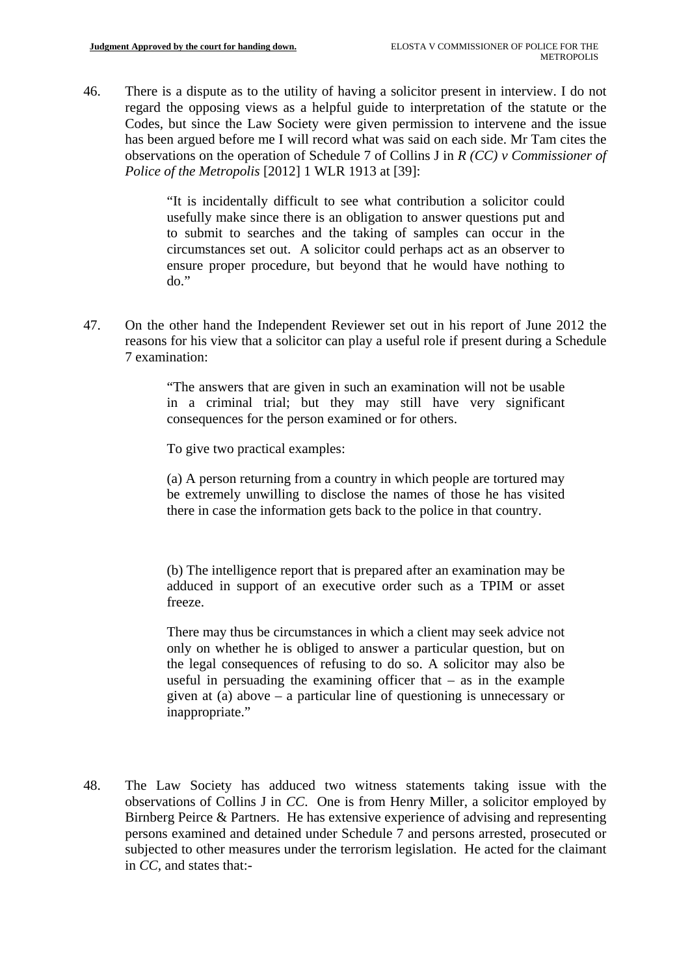46. There is a dispute as to the utility of having a solicitor present in interview. I do not regard the opposing views as a helpful guide to interpretation of the statute or the Codes, but since the Law Society were given permission to intervene and the issue has been argued before me I will record what was said on each side. Mr Tam cites the observations on the operation of Schedule 7 of Collins J in *R (CC) v Commissioner of Police of the Metropolis* [2012] 1 WLR 1913 at [39]:

> "It is incidentally difficult to see what contribution a solicitor could usefully make since there is an obligation to answer questions put and to submit to searches and the taking of samples can occur in the circumstances set out. A solicitor could perhaps act as an observer to ensure proper procedure, but beyond that he would have nothing to do."

47. On the other hand the Independent Reviewer set out in his report of June 2012 the reasons for his view that a solicitor can play a useful role if present during a Schedule 7 examination:

> "The answers that are given in such an examination will not be usable in a criminal trial; but they may still have very significant consequences for the person examined or for others.

To give two practical examples:

(a) A person returning from a country in which people are tortured may be extremely unwilling to disclose the names of those he has visited there in case the information gets back to the police in that country.

(b) The intelligence report that is prepared after an examination may be adduced in support of an executive order such as a TPIM or asset freeze.

There may thus be circumstances in which a client may seek advice not only on whether he is obliged to answer a particular question, but on the legal consequences of refusing to do so. A solicitor may also be useful in persuading the examining officer that  $-$  as in the example given at (a) above – a particular line of questioning is unnecessary or inappropriate."

48. The Law Society has adduced two witness statements taking issue with the observations of Collins J in *CC*. One is from Henry Miller, a solicitor employed by Birnberg Peirce & Partners. He has extensive experience of advising and representing persons examined and detained under Schedule 7 and persons arrested, prosecuted or subjected to other measures under the terrorism legislation. He acted for the claimant in *CC,* and states that:-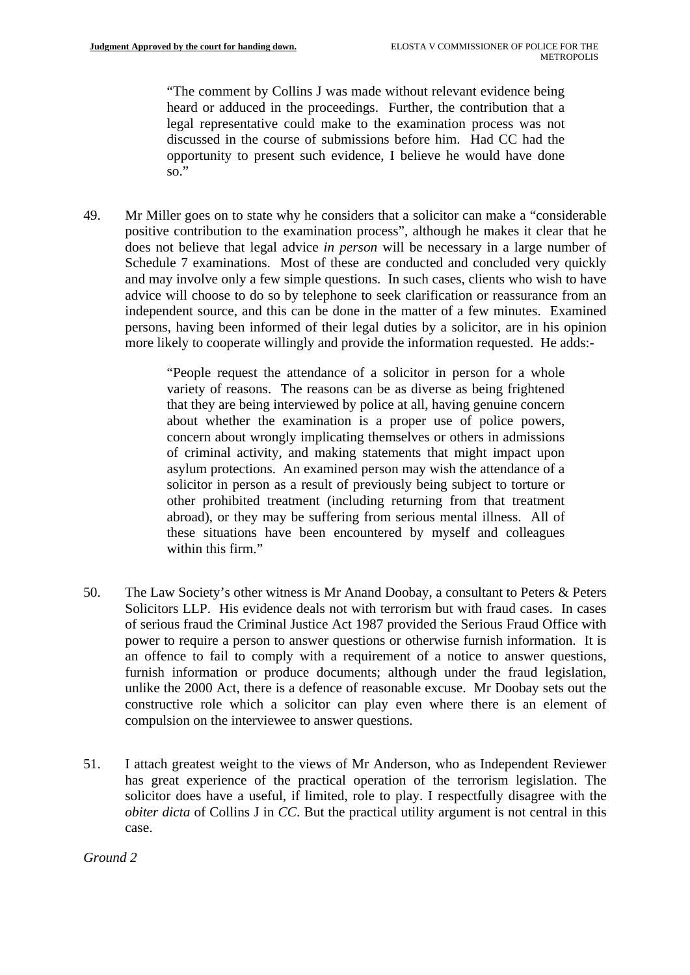"The comment by Collins J was made without relevant evidence being heard or adduced in the proceedings. Further, the contribution that a legal representative could make to the examination process was not discussed in the course of submissions before him. Had CC had the opportunity to present such evidence, I believe he would have done  $\overline{\text{so}}$ .

49. Mr Miller goes on to state why he considers that a solicitor can make a "considerable positive contribution to the examination process", although he makes it clear that he does not believe that legal advice *in person* will be necessary in a large number of Schedule 7 examinations. Most of these are conducted and concluded very quickly and may involve only a few simple questions. In such cases, clients who wish to have advice will choose to do so by telephone to seek clarification or reassurance from an independent source, and this can be done in the matter of a few minutes. Examined persons, having been informed of their legal duties by a solicitor, are in his opinion more likely to cooperate willingly and provide the information requested. He adds:-

> "People request the attendance of a solicitor in person for a whole variety of reasons. The reasons can be as diverse as being frightened that they are being interviewed by police at all, having genuine concern about whether the examination is a proper use of police powers, concern about wrongly implicating themselves or others in admissions of criminal activity, and making statements that might impact upon asylum protections. An examined person may wish the attendance of a solicitor in person as a result of previously being subject to torture or other prohibited treatment (including returning from that treatment abroad), or they may be suffering from serious mental illness. All of these situations have been encountered by myself and colleagues within this firm."

- 50. The Law Society's other witness is Mr Anand Doobay, a consultant to Peters & Peters Solicitors LLP. His evidence deals not with terrorism but with fraud cases. In cases of serious fraud the Criminal Justice Act 1987 provided the Serious Fraud Office with power to require a person to answer questions or otherwise furnish information. It is an offence to fail to comply with a requirement of a notice to answer questions, furnish information or produce documents; although under the fraud legislation, unlike the 2000 Act, there is a defence of reasonable excuse. Mr Doobay sets out the constructive role which a solicitor can play even where there is an element of compulsion on the interviewee to answer questions.
- 51. I attach greatest weight to the views of Mr Anderson, who as Independent Reviewer has great experience of the practical operation of the terrorism legislation. The solicitor does have a useful, if limited, role to play. I respectfully disagree with the *obiter dicta* of Collins J in *CC*. But the practical utility argument is not central in this case.

## *Ground 2*